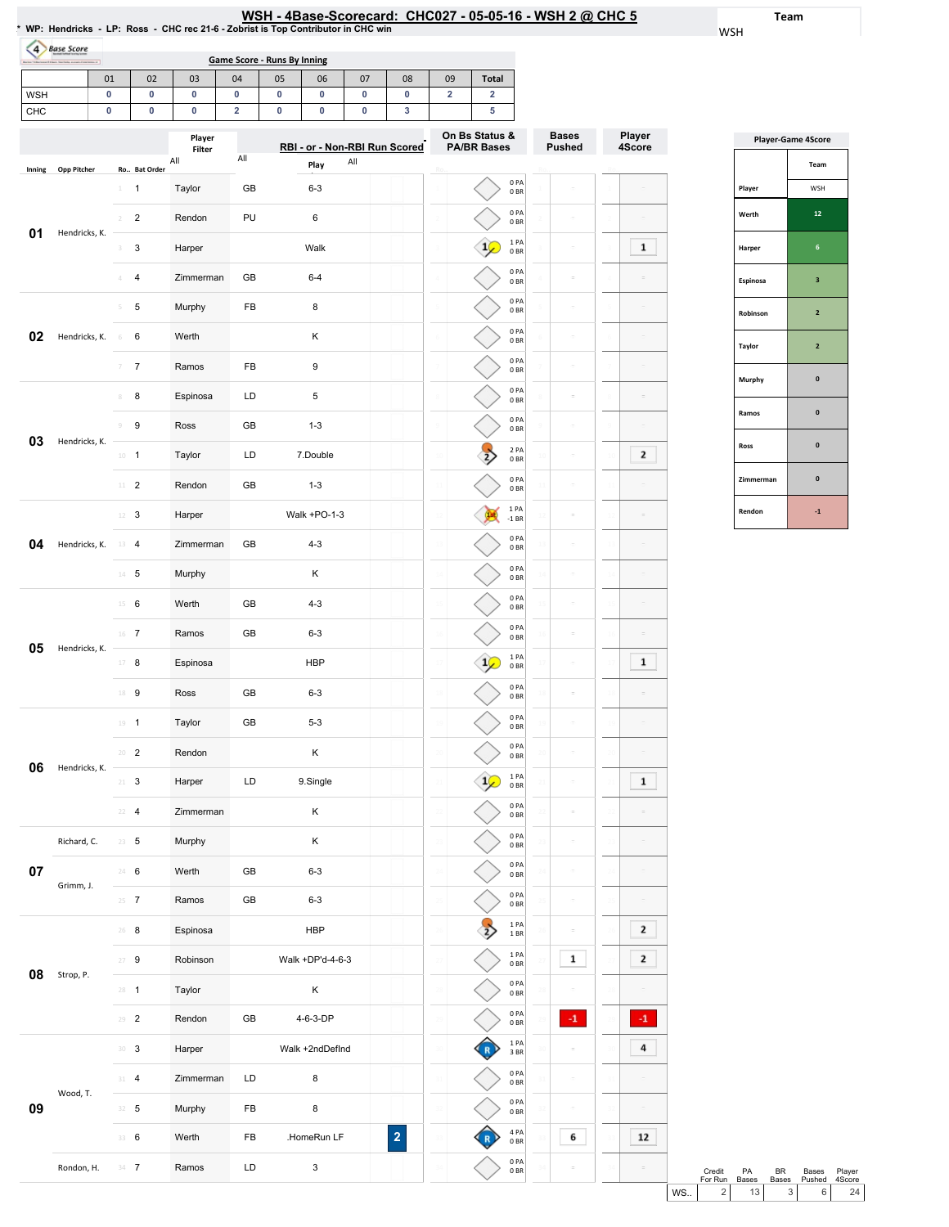| /SH - 4Base-Scorecard:  CHC027 - 05-05-16 - WSH 2 @ CHC 5 |  |  |  |  |  |  |  |
|-----------------------------------------------------------|--|--|--|--|--|--|--|
|-----------------------------------------------------------|--|--|--|--|--|--|--|

Team WSH

 $\boxed{\phantom{1}12}$ 

 $\equiv$ 

|            |                    |                |                  |                  |                         | Game Score - Runs By Inning |                               |           |    |                         |                                      |                                       |                               |                  |
|------------|--------------------|----------------|------------------|------------------|-------------------------|-----------------------------|-------------------------------|-----------|----|-------------------------|--------------------------------------|---------------------------------------|-------------------------------|------------------|
|            |                    | 01             | 02               | 03               | 04                      | 05                          | 06                            | 07        | 08 | 09                      | <b>Total</b>                         |                                       |                               |                  |
| <b>WSH</b> |                    | 0              | 0                | 0                | 0                       | 0                           | $\pmb{0}$                     | $\pmb{0}$ | 0  | $\overline{\mathbf{2}}$ | $\overline{\mathbf{2}}$              |                                       |                               |                  |
| CHC        |                    | $\bf{0}$       | 0                | 0                | $\overline{\mathbf{2}}$ | $\pmb{0}$                   | $\pmb{0}$                     | 0         | 3  |                         | 5                                    |                                       |                               |                  |
|            |                    |                |                  | Player<br>Filter |                         |                             | RBI - or - Non-RBI Run Scored |           |    |                         | On Bs Status &<br><b>PA/BR Bases</b> |                                       | <b>Bases</b><br><b>Pushed</b> | Player<br>4Score |
| Inning     | <b>Opp Pitcher</b> |                | Ro Bat Order     | All              | All                     |                             | Play                          | All       |    |                         |                                      |                                       |                               |                  |
|            |                    | $1$ .          | $\mathbf{1}$     | Taylor           | GB                      |                             | $6 - 3$                       |           |    |                         |                                      | 0PA<br>0BR                            | ö                             |                  |
|            |                    | $\mathcal{D}$  | $\overline{2}$   | Rendon           | PU                      |                             | 6                             |           |    |                         |                                      | 0PA<br>0BR                            | $\equiv$                      |                  |
| 01         | Hendricks, K.      | 3              | 3                | Harper           |                         |                             | Walk                          |           |    |                         |                                      | 1PA<br>0BR                            | ÷                             |                  |
|            |                    | Δ              | $\overline{4}$   | Zimmerman        | GB                      |                             | $6 - 4$                       |           |    |                         |                                      | 0PA                                   | ċ                             |                  |
|            |                    | 5              | 5                | Murphy           | FB                      |                             | 8                             |           |    |                         |                                      | 0 <sub>BR</sub><br>0PA                | $\bar{a}$                     |                  |
|            |                    |                |                  |                  |                         |                             |                               |           |    |                         |                                      | 0BR<br>0PA                            | ÷                             |                  |
| 02         | Hendricks, K.      | $-6$           | 6                | Werth            |                         |                             | κ                             |           |    |                         |                                      | 0BR<br>0PA                            |                               |                  |
|            |                    | $\overline{7}$ | $\overline{7}$   | Ramos            | FB                      |                             | 9                             |           |    |                         |                                      | 0BR                                   | ÷                             |                  |
|            |                    | 8              | 8                | Espinosa         | LD                      |                             | 5                             |           |    |                         |                                      | 0PA<br>0BR                            | ö                             |                  |
| 03         | Hendricks, K.      | 9              | 9                | Ross             | GB                      |                             | $1 - 3$                       |           |    |                         |                                      | 0PA<br>0BR                            | $\bar{a}$                     |                  |
|            |                    |                | $10 - 1$         | Taylor           | LD                      |                             | 7.Double                      |           |    | $\mathfrak{U}$          |                                      | 2PA<br>0BR                            | $\equiv$                      |                  |
|            |                    |                | $11 - 2$         | Rendon           | GB                      |                             | $1 - 3$                       |           |    |                         |                                      | 0PA<br>0BR                            | ö                             |                  |
|            |                    |                | $12 - 3$         | Harper           |                         |                             | Walk +PO-1-3                  |           |    |                         |                                      | 1PA<br>$-1$ BR                        |                               |                  |
| 04         | Hendricks, K.      |                | $13 \t 4$        | Zimmerman        | GB                      |                             | $4 - 3$                       |           |    |                         |                                      | 0PA<br>0BR                            | $\bar{a}$                     |                  |
|            |                    |                | $14$ 5           | Murphy           |                         |                             | Κ                             |           |    |                         |                                      | 0PA<br>0BR                            | ÷                             |                  |
|            |                    | $15 -$         | 6                | Werth            | GB                      |                             | $4 - 3$                       |           |    | 15                      |                                      | 0PA<br>0BR                            | $\equiv$                      |                  |
|            |                    |                | $16$ 7           | Ramos            | GB                      |                             | $6 - 3$                       |           |    | 16                      |                                      | 0PA<br>0BR                            | ö                             |                  |
| 05         | Hendricks, K.      |                | $17 - 8$         | Espinosa         |                         |                             | <b>HBP</b>                    |           |    |                         |                                      | 1 PA<br>0 <sub>BR</sub>               |                               |                  |
|            |                    |                | $18$ 9           | Ross             | GB                      |                             | $6 - 3$                       |           |    |                         |                                      | 0 PA<br>$0\;\ensuremath{\mathsf{BR}}$ |                               |                  |
|            |                    |                | $19 - 1$         | Taylor           | GB                      |                             | $5 - 3$                       |           |    |                         |                                      | 0PA<br>0BR                            | ÷                             |                  |
|            |                    |                | $20 - 2$         | Rendon           |                         |                             | Κ                             |           |    | 20                      |                                      | 0PA<br>0BR                            | ÷                             |                  |
| 06         | Hendricks, K.      |                | $21 - 3$         | Harper           | LD                      |                             | 9.Single                      |           |    | 21                      |                                      | 1PA<br>0B                             | ö                             |                  |
|            |                    |                | $22 - 4$         | Zimmerman        |                         |                             | Κ                             |           |    | 22                      |                                      | 0PA<br>0BR                            | ö                             |                  |
|            | Richard, C.        |                | $23 \t 5$        | Murphy           |                         |                             | Κ                             |           |    | 23                      |                                      | 0PA<br>0B                             | ÷                             |                  |
| 07         |                    |                | 24 6             | Werth            | GB                      |                             | $6 - 3$                       |           |    | 2 <sub>l</sub>          |                                      | 0PA<br>0BR                            | ÷                             |                  |
|            | Grimm, J.          |                | $25 - 7$         | Ramos            | GB                      |                             | $6 - 3$                       |           |    | 25                      |                                      | 0PA<br>0BR                            | $\bar{a}$                     |                  |
|            |                    |                | $26$ 8           | Espinosa         |                         |                             | <b>HBP</b>                    |           |    | 26                      |                                      | 1PA                                   | ċ                             |                  |
|            |                    | 27             | $\boldsymbol{9}$ | Robinson         |                         |                             | Walk +DP'd-4-6-3              |           |    |                         |                                      | $1\,\mathrm{BR}$<br>1PA               | 1                             |                  |
| 08         | Strop, P.          |                | $28 - 1$         | Taylor           |                         |                             | Κ                             |           |    | 28                      |                                      | 0B<br>0PA                             |                               |                  |
|            |                    |                |                  |                  |                         |                             |                               |           |    |                         |                                      | 0BR<br>0PA                            | $-1$                          |                  |
|            |                    |                | $29 - 2$         | Rendon           | GB                      |                             | 4-6-3-DP                      |           |    | 29                      |                                      | 0B<br>1PA                             |                               | $^{\rm -1}$      |
|            |                    | 30             | $\mathbf{3}$     | Harper           |                         |                             | Walk +2ndDefInd               |           |    | 30                      |                                      | 3 BR                                  | ä                             |                  |
|            |                    |                | 31 4             | Zimmerman        | LD                      |                             | 8                             |           |    | 31                      |                                      | 0PA<br>$0\;\ensuremath{\mathsf{BR}}$  |                               |                  |

33 6 Werth FB .HomeRun LF

2

33 34 4PA 0BR 0PA 0BR

33 34  $6\overline{6}$ 

 $\overline{a}$ 

33 34

Rondon, H. 34 7 Ramos LD 3

|               | <b>Player-Game 4Score</b> |
|---------------|---------------------------|
|               | Team                      |
| Player        | WSH                       |
| Werth         | 12                        |
| Harper        | 6                         |
| Espinosa      | 3                         |
| Robinson      | $\overline{2}$            |
| <b>Taylor</b> | $\overline{2}$            |
| Murphy        | $\bf{0}$                  |
| Ramos         | $\mathbf{0}$              |
| Ross          | $\mathbf{0}$              |
| Zimmerman     | $\mathbf{0}$              |
| Rendon        | $-1$                      |

|           | Credit<br>For Run | PA<br><b>Bases</b> | RR<br><b>Bases</b> | Bases<br>Pushed 4Score | Plaver         |  |
|-----------|-------------------|--------------------|--------------------|------------------------|----------------|--|
| <b>WS</b> |                   | 13 I               | 3 <sup>1</sup>     |                        | 2 <sub>A</sub> |  |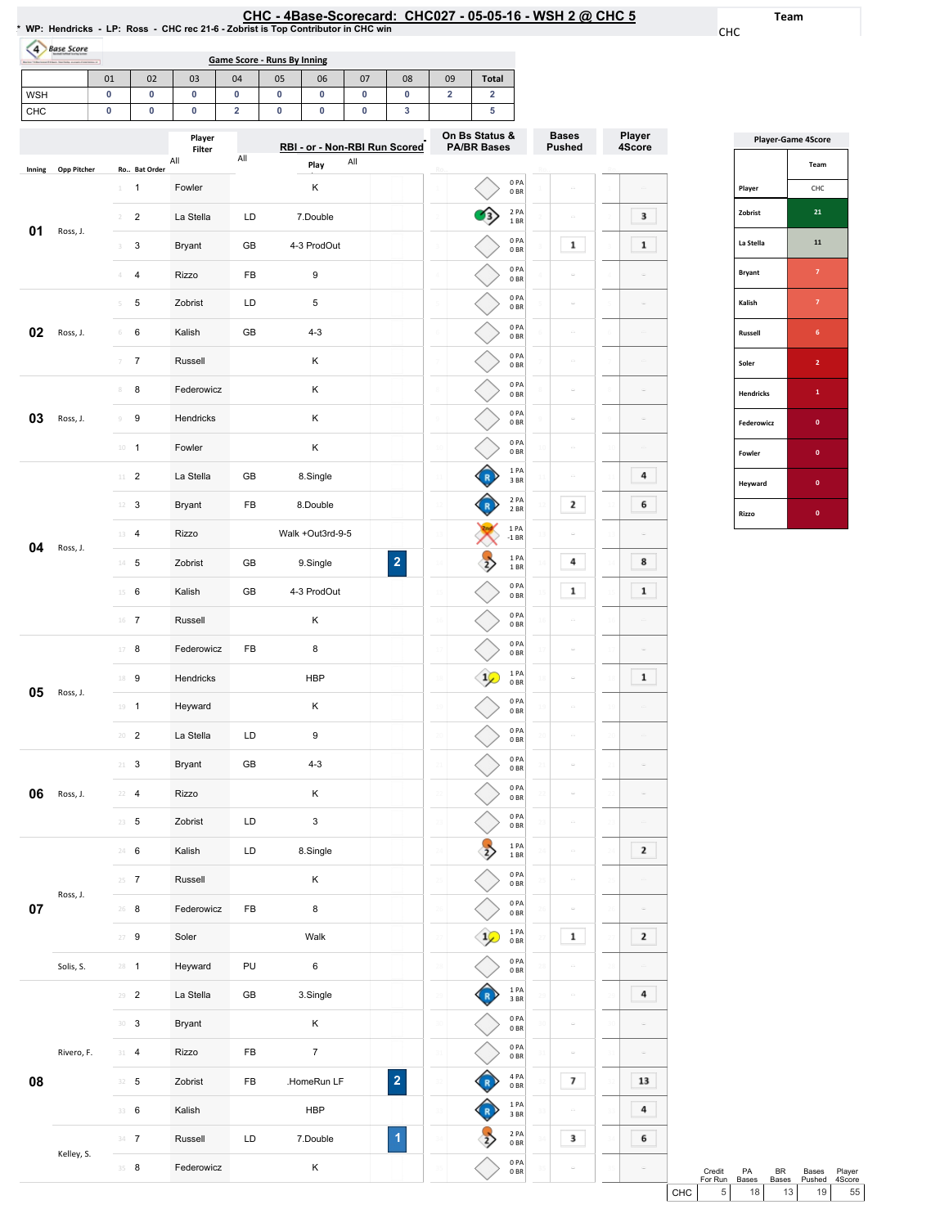|                                                                                   | CHC - 4Base-Scorecard: CHC027 - 05-05-16 - WSH 2 @ CHC 5 |  |
|-----------------------------------------------------------------------------------|----------------------------------------------------------|--|
| * WP: Hendricks - LP: Ross - CHC rec 21-6 - Zobrist is Top Contributor in CHC win |                                                          |  |

Team

CHC

| Borks *1 Berkenet 11 best Statistic automobilisterium of |               |  |              |     |     | Game Score - Runs By Inning |      |                               |    |                |                                      |
|----------------------------------------------------------|---------------|--|--------------|-----|-----|-----------------------------|------|-------------------------------|----|----------------|--------------------------------------|
|                                                          | 01            |  | 02           | 03  | 04  | 05                          | 06   | 07                            | 08 | 09             | <b>Total</b>                         |
| <b>WSH</b>                                               |               |  | n            | о   | 0   | 0                           | 0    | 0                             | 0  |                | ົ                                    |
| <b>CHC</b>                                               |               |  |              |     | ີ   | 0                           |      | o                             | 3  |                | 5                                    |
| Player<br>Filter                                         |               |  |              |     |     |                             |      | RBI - or - Non-RBI Run Scored |    |                | On Bs Status &<br><b>PA/BR Bases</b> |
| $1 - 1 - 1 - 1$                                          | One Discharge |  | De Det Onder | All | All |                             | Play | All                           |    | <b>Charles</b> |                                      |

|        |             |                                         | Player<br>Filter<br>All | All | RBI - or - Non-RBI Run Scored<br>All   |    | On Bs Status &<br><b>PA/BR Bases</b> |                         | Bases<br><b>Pushed</b> | Player<br>4Score |
|--------|-------------|-----------------------------------------|-------------------------|-----|----------------------------------------|----|--------------------------------------|-------------------------|------------------------|------------------|
| Inning | Opp Pitcher | Ro Bat Order                            |                         |     | Play                                   |    |                                      | 0PA                     |                        |                  |
|        |             | $\mathbf{1}$<br>$\perp$                 | Fowler                  |     | Κ                                      |    |                                      | 0BR                     | G                      |                  |
| 01     | Ross, J.    | $\overline{2}$<br>$\sqrt{2}$            | La Stella               | LD  | 7.Double                               |    |                                      | 2 PA<br>1 B R           | C)                     | 3                |
|        |             | 3<br>3                                  | <b>Bryant</b>           | GB  | 4-3 ProdOut                            |    |                                      | 0PA<br>0BR              | 1                      | 1                |
|        |             | $\overline{4}$<br>4                     | Rizzo                   | FB  | 9                                      |    |                                      | 0 PA<br>0B              | ċ                      |                  |
|        |             | 5<br>5                                  | Zobrist                 | LD  | 5                                      |    |                                      | 0 PA<br>0 <sub>BR</sub> |                        |                  |
| 02     | Ross, J.    | 6<br>$\,$ $\,$ $\,$                     | Kalish                  | GB  | $4 - 3$                                | -6 |                                      | 0 PA<br>0B              | $\sim$                 |                  |
|        |             | $\boldsymbol{7}$<br>$\overline{\gamma}$ | Russell                 |     | Κ                                      |    |                                      | 0 PA<br>0B              | ċ                      |                  |
|        |             | 8<br>$\scriptstyle\rm 8$                | Federowicz              |     | Κ                                      |    |                                      | 0PA<br>0BR              | $\bar{a}$              |                  |
| 03     | Ross, J.    | 9<br>$\mathcal G$                       | Hendricks               |     | Κ                                      |    |                                      | 0 PA<br>0B              | $\bar{\omega}$         |                  |
|        |             | $10 - 1$                                | Fowler                  |     | Κ                                      |    |                                      | 0 PA<br>0 BR            | $\hskip1.6pt\circ$     |                  |
|        |             | $\overline{2}$<br>$11 -$                | La Stella               | GB  | 8.Single                               |    |                                      | 1PA<br>3 BR             | $\sim$                 | 4                |
|        |             | 12<br>3                                 | <b>Bryant</b>           | FB  | 8.Double                               |    |                                      | 2 PA<br>2 BR            | 2                      | 6                |
|        |             | $\overline{4}$<br>13                    | Rizzo                   |     | Walk +Out3rd-9-5                       |    |                                      | 1 PA<br>$-1$ BR         |                        |                  |
| 04     | Ross, J.    | $14$ 5                                  | Zobrist                 | GB  | $\overline{\mathbf{c}}$<br>9.Single    |    |                                      | 1PA<br>1 BR             | 4                      | 8                |
|        |             | 6<br>15                                 | Kalish                  | GB  | 4-3 ProdOut                            |    |                                      | 0PA<br>0 <sub>BR</sub>  | 1                      | 1                |
|        |             | $16$ 7                                  | Russell                 |     | Κ                                      | 16 |                                      | 0PA<br>0B               |                        |                  |
|        |             | 8<br>17                                 | Federowicz              | FB  | 8                                      |    |                                      | 0 PA<br>0B              | ċ                      |                  |
|        |             | 9<br>18                                 | Hendricks               |     | <b>HBP</b>                             |    | $1\sqrt{ }$                          | $1$ PA<br>0BR           | $\bar{a}$              | 1                |
| 05     | Ross, J.    | $19 - 1$                                | Heyward                 |     | Κ                                      |    |                                      | 0 PA<br>0B              | $\bar{\omega}$         |                  |
|        |             | $\overline{c}$<br>20                    | La Stella               | LD  | 9                                      |    |                                      | 0 PA<br>0 BR            | $\hskip1.6pt\circ$     |                  |
|        |             | 3<br>$21 -$                             | <b>Bryant</b>           | GB  | $4 - 3$                                |    |                                      | 0PA<br>0BR              | $\overline{\omega}$    |                  |
| 06     | Ross, J.    | $22 \quad 4$                            | Rizzo                   |     | κ                                      |    |                                      | 0 PA<br>0B              | c                      |                  |
|        |             | $23 \t 5$                               | Zobrist                 | LD  | 3                                      |    |                                      | 0PA<br>0 <sub>BR</sub>  |                        |                  |
|        |             | 24 6                                    | Kalish                  | LD  | 8.Single                               |    |                                      | 1PA<br>1 B R            | Ġ.                     | 2                |
|        |             | $25 - 7$                                | Russell                 |     | Κ                                      |    |                                      | 0PA<br>0B               |                        |                  |
| 07     | Ross, J.    | $26 - 8$                                | Federowicz              | FB  | 8                                      | 26 |                                      | 0PA<br>0B               | $\overline{\omega}$    |                  |
|        |             | $27 - 9$                                | Soler                   |     | Walk                                   |    |                                      | 1 PA<br>0B              | $\mathbf{1}$           | 2                |
|        | Solis, S.   | $28 - 1$                                | Heyward                 | PU  | $\,6\,$                                | 25 |                                      | 0PA<br>0B               | $\bar{\omega}$         |                  |
|        |             | $29 - 2$                                | La Stella               | GB  | 3.Single                               |    |                                      | 1PA<br>3 BR             | $\bar{\omega}$         | 4                |
|        |             | $30 - 3$                                | Bryant                  |     | Κ                                      |    |                                      | 0PA<br>0BR              | $\hskip1.6pt\circ$     |                  |
|        | Rivero, F.  | $31 - 4$                                | Rizzo                   | FB  | $\overline{7}$                         |    |                                      | 0PA<br>0B               | $\overline{\omega}$    |                  |
| 08     |             | $32 - 5$                                | Zobrist                 | FB  | $\overline{\mathbf{c}}$<br>.HomeRun LF |    |                                      | 4 PA<br>0BR             | 7                      | 13               |
|        |             | 33 6                                    | Kalish                  |     | <b>HBP</b>                             |    |                                      | 1 PA<br>3 BR            | G                      | 4                |
|        |             | $34 - 7$                                | Russell                 | LD  | 1<br>7.Double                          |    |                                      | 2 PA<br>0B              | 3                      | 6                |
|        | Kelley, S.  | $35 - 8$                                | Federowicz              |     | Κ                                      |    |                                      | 0PA<br>0B               |                        |                  |
|        |             |                                         |                         |     |                                        |    |                                      |                         |                        |                  |

|                  | <b>Player-Game 4Score</b> |
|------------------|---------------------------|
|                  | Team                      |
| Player           | CHC                       |
| Zobrist          | 21                        |
| La Stella        | 11                        |
| <b>Bryant</b>    | $\overline{7}$            |
| Kalish           | $\overline{7}$            |
| <b>Russell</b>   | 6                         |
| Soler            | $\overline{2}$            |
| <b>Hendricks</b> | $\mathbf{1}$              |
| Federowicz       | $\mathbf{0}$              |
| Fowler           | $\mathbf{0}$              |
| Heyward          | $\mathbf{0}$              |
| Rizzo            | $\bf{0}$                  |

|       | Credit         | <b>PA</b>    | RR.             | Bases  | Player |
|-------|----------------|--------------|-----------------|--------|--------|
|       | For Run        | <b>Bases</b> | Bases           | Pushed | 4Score |
| CHC I | 5 <sub>1</sub> | 18           | 13 <sup>1</sup> | 19     | 55     |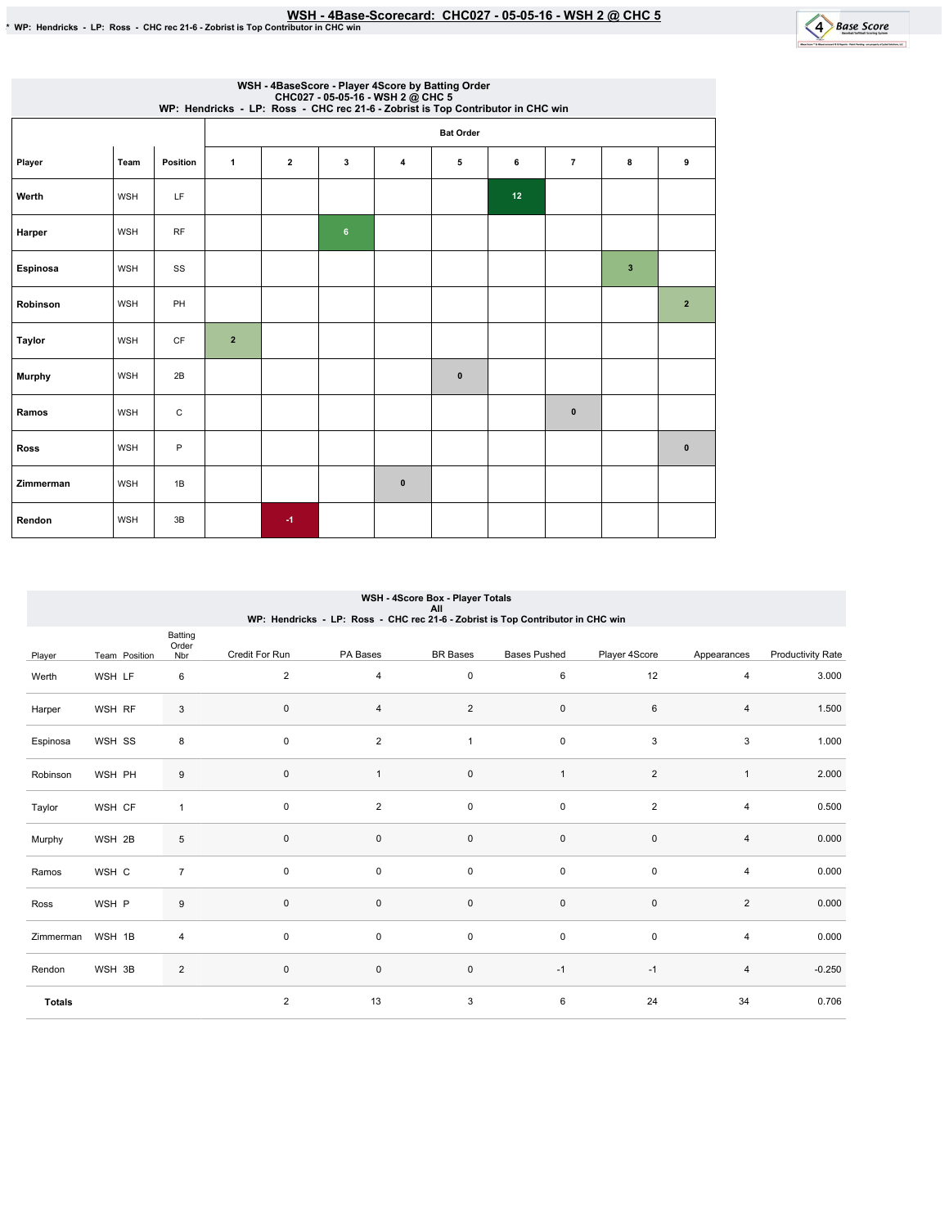|               | WSH - 4BaseScore - Player 4Score by Batting Order<br>CHC027 - 05-05-16 - WSH 2 @ CHC 5<br>WP: Hendricks - LP: Ross - CHC rec 21-6 - Zobrist is Top Contributor in CHC win |             |                |                  |         |              |             |    |                |              |                |  |  |  |  |
|---------------|---------------------------------------------------------------------------------------------------------------------------------------------------------------------------|-------------|----------------|------------------|---------|--------------|-------------|----|----------------|--------------|----------------|--|--|--|--|
|               |                                                                                                                                                                           |             |                | <b>Bat Order</b> |         |              |             |    |                |              |                |  |  |  |  |
| Player        | Team                                                                                                                                                                      | Position    | $\mathbf{1}$   | $\overline{2}$   | 3       | 4            | 5           | 6  | $\overline{7}$ | 8            | 9              |  |  |  |  |
| Werth         | <b>WSH</b>                                                                                                                                                                | LF          |                |                  |         |              |             | 12 |                |              |                |  |  |  |  |
| Harper        | <b>WSH</b>                                                                                                                                                                | <b>RF</b>   |                |                  | $\bf 6$ |              |             |    |                |              |                |  |  |  |  |
| Espinosa      | WSH                                                                                                                                                                       | SS          |                |                  |         |              |             |    |                | $\mathbf{3}$ |                |  |  |  |  |
| Robinson      | <b>WSH</b>                                                                                                                                                                | PH          |                |                  |         |              |             |    |                |              | $\overline{2}$ |  |  |  |  |
| Taylor        | <b>WSH</b>                                                                                                                                                                | <b>CF</b>   | $\overline{2}$ |                  |         |              |             |    |                |              |                |  |  |  |  |
| <b>Murphy</b> | WSH                                                                                                                                                                       | 2B          |                |                  |         |              | $\mathbf 0$ |    |                |              |                |  |  |  |  |
| Ramos         | <b>WSH</b>                                                                                                                                                                | $\mathbf C$ |                |                  |         |              |             |    | $\bf{0}$       |              |                |  |  |  |  |
| <b>Ross</b>   | <b>WSH</b>                                                                                                                                                                | P           |                |                  |         |              |             |    |                |              | $\mathbf{0}$   |  |  |  |  |
| Zimmerman     | <b>WSH</b>                                                                                                                                                                | 1B          |                |                  |         | $\mathbf{0}$ |             |    |                |              |                |  |  |  |  |
| Rendon        | <b>WSH</b>                                                                                                                                                                | 3B          |                | $-1$             |         |              |             |    |                |              |                |  |  |  |  |

|               | WSH - 4Score Box - Player Totals<br>All<br>WP: Hendricks - LP: Ross - CHC rec 21-6 - Zobrist is Top Contributor in CHC win |                  |                |                |                     |                     |                |                |                          |  |  |  |  |  |
|---------------|----------------------------------------------------------------------------------------------------------------------------|------------------|----------------|----------------|---------------------|---------------------|----------------|----------------|--------------------------|--|--|--|--|--|
|               |                                                                                                                            |                  |                |                |                     |                     |                |                |                          |  |  |  |  |  |
|               |                                                                                                                            | Batting<br>Order |                |                |                     |                     |                |                |                          |  |  |  |  |  |
| Player        | Team Position                                                                                                              | Nbr              | Credit For Run | PA Bases       | <b>BR</b> Bases     | <b>Bases Pushed</b> | Player 4Score  | Appearances    | <b>Productivity Rate</b> |  |  |  |  |  |
| Werth         | WSH LF                                                                                                                     | 6                | 2              | 4              | 0                   | 6                   | 12             | 4              | 3.000                    |  |  |  |  |  |
| Harper        | WSH RF                                                                                                                     | $\mathbf{3}$     | $\mathbf 0$    | 4              | $\overline{2}$      | 0                   | 6              | 4              | 1.500                    |  |  |  |  |  |
| Espinosa      | WSH SS                                                                                                                     | 8                | $\pmb{0}$      | $\overline{c}$ | $\mathbf{1}$        | $\mathsf{O}\xspace$ | 3              | 3              | 1.000                    |  |  |  |  |  |
| Robinson      | WSH PH                                                                                                                     | 9                | $\pmb{0}$      | $\mathbf{1}$   | $\mathsf{O}\xspace$ | $\mathbf{1}$        | $\overline{2}$ | $\mathbf{1}$   | 2.000                    |  |  |  |  |  |
| Taylor        | WSH CF                                                                                                                     | $\mathbf{1}$     | 0              | $\overline{c}$ | $\mathsf{O}\xspace$ | 0                   | $\overline{2}$ | 4              | 0.500                    |  |  |  |  |  |
| Murphy        | WSH 2B                                                                                                                     | 5                | $\mathbf 0$    | $\mathbf 0$    | $\mathsf{O}\xspace$ | $\mathsf{O}\xspace$ | $\pmb{0}$      | 4              | 0.000                    |  |  |  |  |  |
| Ramos         | WSH C                                                                                                                      | $\overline{7}$   | $\pmb{0}$      | 0              | $\mathsf{O}\xspace$ | $\mathsf 0$         | $\mathsf 0$    | 4              | 0.000                    |  |  |  |  |  |
| Ross          | WSH P                                                                                                                      | 9                | $\mathbf 0$    | 0              | $\mathsf{O}\xspace$ | $\mathsf 0$         | $\mathsf 0$    | $\overline{2}$ | 0.000                    |  |  |  |  |  |
| Zimmerman     | WSH 1B                                                                                                                     | 4                | $\mathbf 0$    | 0              | $\mathsf{O}\xspace$ | $\mathsf 0$         | $\mathsf 0$    | 4              | 0.000                    |  |  |  |  |  |
| Rendon        | WSH 3B                                                                                                                     | $\sqrt{2}$       | $\mathbf 0$    | $\mathsf 0$    | $\mathsf{O}\xspace$ | $-1$                | $-1$           | 4              | $-0.250$                 |  |  |  |  |  |
| <b>Totals</b> |                                                                                                                            |                  | 2              | 13             | 3                   | 6                   | 24             | 34             | 0.706                    |  |  |  |  |  |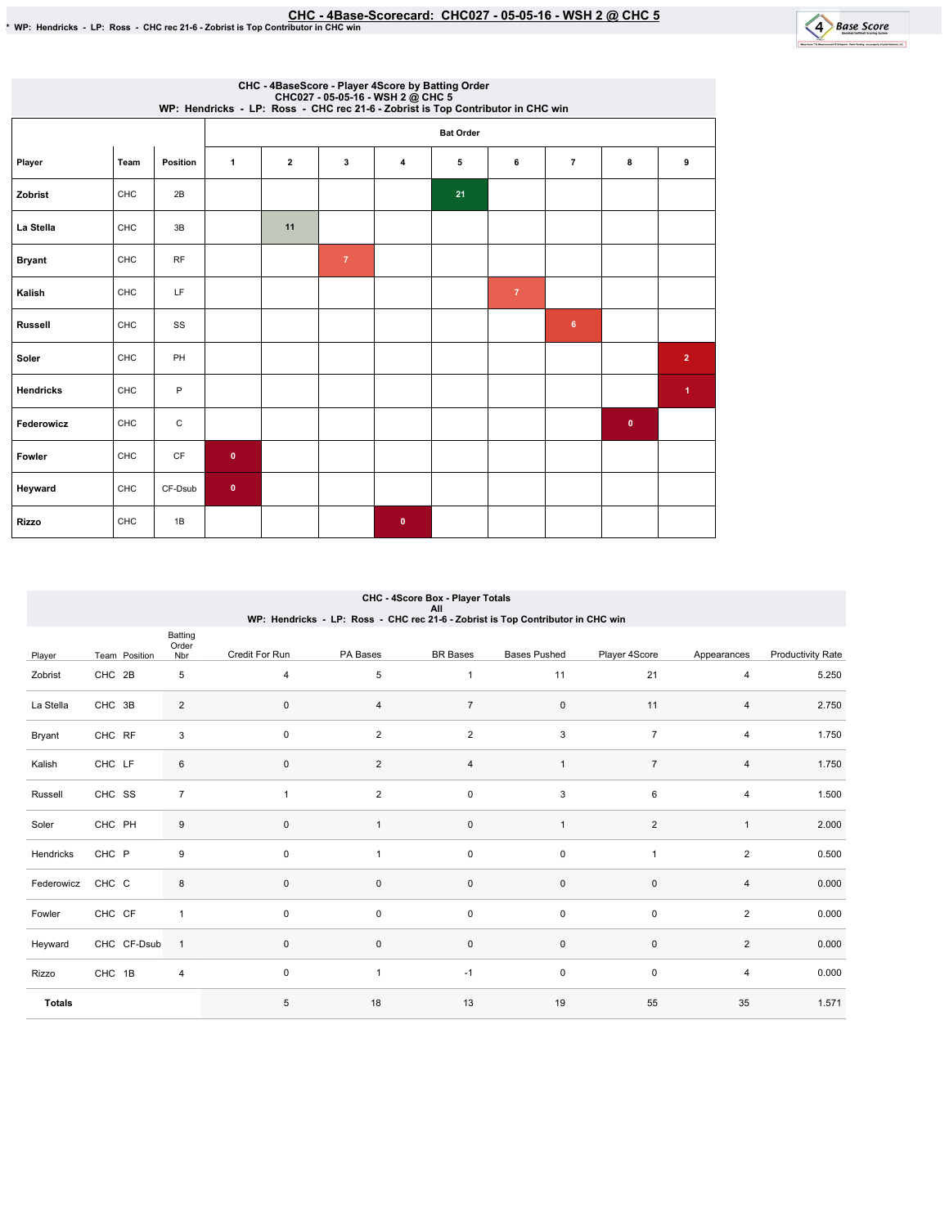

|                  | CHC - 4BaseScore - Player 4Score by Batting Order<br>CHC027 - 05-05-16 - WSH 2 @ CHC 5<br>WP: Hendricks - LP: Ross - CHC rec 21-6 - Zobrist is Top Contributor in CHC win |             |              |              |                |              |                  |                |                |              |                      |  |  |  |
|------------------|---------------------------------------------------------------------------------------------------------------------------------------------------------------------------|-------------|--------------|--------------|----------------|--------------|------------------|----------------|----------------|--------------|----------------------|--|--|--|
|                  |                                                                                                                                                                           |             |              |              |                |              | <b>Bat Order</b> |                |                |              |                      |  |  |  |
| Player           | Team                                                                                                                                                                      | Position    | $\mathbf{1}$ | $\mathbf{2}$ | 3              | 4            | 5                | 6              | $\overline{7}$ | 8            | 9                    |  |  |  |
| Zobrist          | CHC                                                                                                                                                                       | 2B          |              |              |                |              | 21               |                |                |              |                      |  |  |  |
| La Stella        | CHC                                                                                                                                                                       | 3B          |              | 11           |                |              |                  |                |                |              |                      |  |  |  |
| <b>Bryant</b>    | CHC                                                                                                                                                                       | <b>RF</b>   |              |              | $\overline{7}$ |              |                  |                |                |              |                      |  |  |  |
| Kalish           | CHC                                                                                                                                                                       | LF          |              |              |                |              |                  | $\overline{7}$ |                |              |                      |  |  |  |
| <b>Russell</b>   | CHC                                                                                                                                                                       | SS          |              |              |                |              |                  |                | 6              |              |                      |  |  |  |
| Soler            | CHC                                                                                                                                                                       | PH          |              |              |                |              |                  |                |                |              | $\overline{2}$       |  |  |  |
| <b>Hendricks</b> | CHC                                                                                                                                                                       | P           |              |              |                |              |                  |                |                |              | $\blacktriangleleft$ |  |  |  |
| Federowicz       | CHC                                                                                                                                                                       | $\mathsf C$ |              |              |                |              |                  |                |                | $\mathbf{0}$ |                      |  |  |  |
| Fowler           | CHC                                                                                                                                                                       | CF          | $\mathbf{0}$ |              |                |              |                  |                |                |              |                      |  |  |  |
| Heyward          | CHC                                                                                                                                                                       | CF-Dsub     | $\mathbf{0}$ |              |                |              |                  |                |                |              |                      |  |  |  |
| <b>Rizzo</b>     | CHC                                                                                                                                                                       | 1B          |              |              |                | $\mathbf{0}$ |                  |                |                |              |                      |  |  |  |

## CHC - 4Score Box - Player Totals All<br>WP: Hendricks - LP: Ross - CHC rec 21-6 - Zobrist is Top Contributor in CHC win

|               |               | Batting<br>Order |                |                |                     |                     |                |                |                          |
|---------------|---------------|------------------|----------------|----------------|---------------------|---------------------|----------------|----------------|--------------------------|
| Player        | Team Position | Nbr              | Credit For Run | PA Bases       | <b>BR</b> Bases     | <b>Bases Pushed</b> | Player 4Score  | Appearances    | <b>Productivity Rate</b> |
| Zobrist       | CHC 2B        | 5                | $\overline{4}$ | 5              | $\mathbf{1}$        | 11                  | 21             | 4              | 5.250                    |
| La Stella     | CHC 3B        | $\overline{2}$   | $\mathbf 0$    | 4              | $\overline{7}$      | $\mathsf 0$         | 11             | 4              | 2.750                    |
| Bryant        | CHC RF        | 3                | $\mathbf 0$    | $\overline{2}$ | $\overline{2}$      | $\mathsf 3$         | $\overline{7}$ | 4              | 1.750                    |
| Kalish        | CHC LF        | 6                | $\mathbf{0}$   | $\overline{2}$ | $\overline{4}$      | $\mathbf{1}$        | $\overline{7}$ | $\overline{4}$ | 1.750                    |
| Russell       | CHC SS        | $\overline{7}$   | $\overline{1}$ | $\overline{2}$ | $\mathsf{O}\xspace$ | 3                   | 6              | 4              | 1.500                    |
| Soler         | CHC PH        | 9                | $\mathbf{0}$   | $\mathbf{1}$   | $\mathsf{O}\xspace$ | $\mathbf{1}$        | $\overline{2}$ | $\mathbf{1}$   | 2.000                    |
| Hendricks     | CHC P         | $\boldsymbol{9}$ | $\mathbf 0$    |                | $\mathsf{O}\xspace$ | $\mathsf 0$         | $\overline{1}$ | $\overline{2}$ | 0.500                    |
| Federowicz    | CHC C         | 8                | $\mathbf{0}$   | $\mathbf 0$    | $\mathsf{O}\xspace$ | $\mathsf 0$         | $\pmb{0}$      | $\overline{4}$ | 0.000                    |
| Fowler        | CHC CF        | $\mathbf{1}$     | $\mathbf 0$    | 0              | $\mathsf{O}\xspace$ | $\mathsf 0$         | $\mathsf 0$    | $\overline{2}$ | 0.000                    |
| Heyward       | CHC CF-Dsub   | $\mathbf{1}$     | $\mathbf 0$    | $\mathbf 0$    | $\mathsf 0$         | $\mathsf 0$         | $\mathsf 0$    | $\overline{2}$ | 0.000                    |
| Rizzo         | CHC 1B        | $\overline{4}$   | $\mathbf 0$    | $\overline{1}$ | $-1$                | $\mathsf 0$         | $\mathsf 0$    | 4              | 0.000                    |
| <b>Totals</b> |               |                  | 5              | 18             | 13                  | 19                  | 55             | 35             | 1.571                    |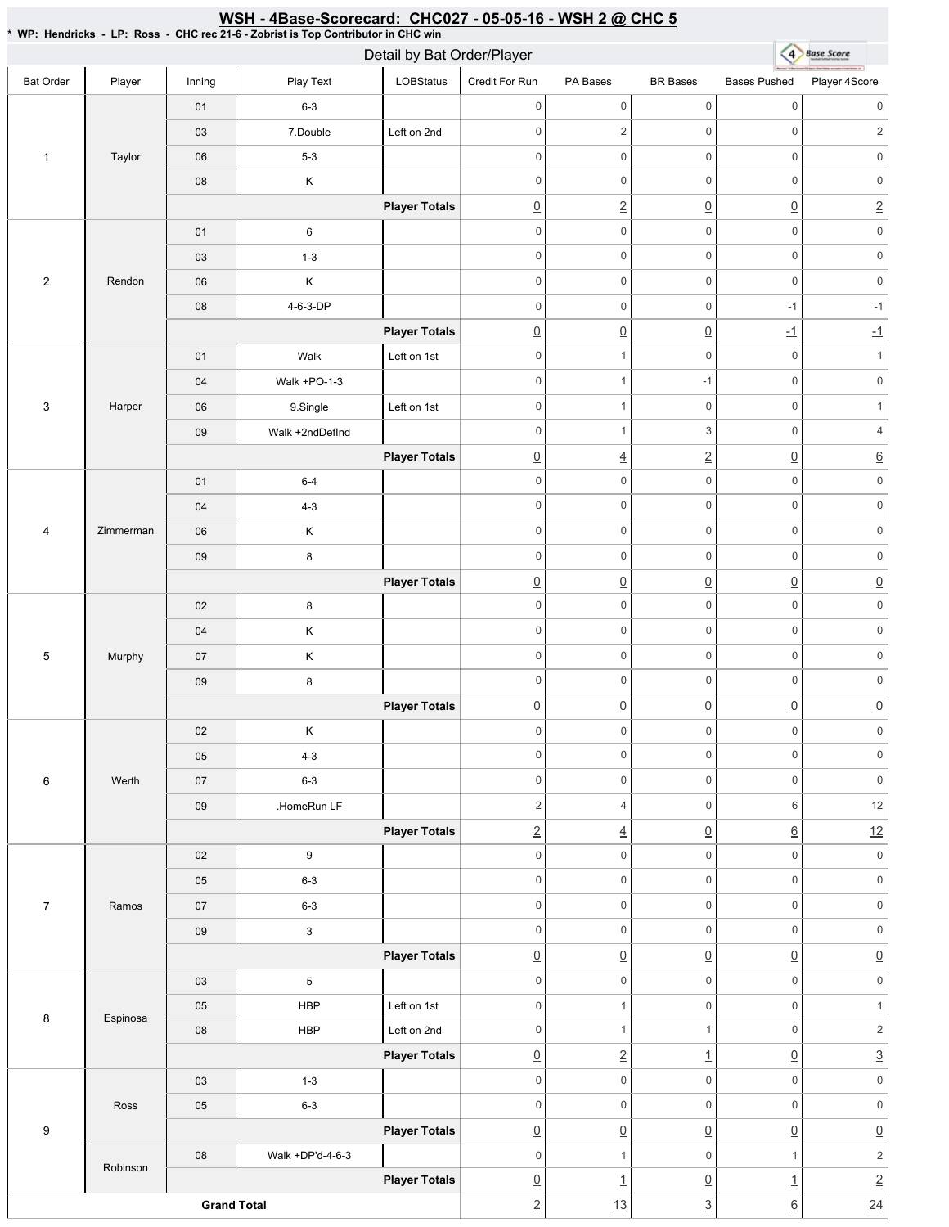## \* WP: Hendricks-LP: Ross-CHC rec 21-6 - Zobrist is Top Contributor in CHC win 4 Base Score Detail by Bat Order/Player Bat Order | Player | Inning | PlayText | LOBStatus Credit For Run PA Bases BR Bases Bases Pushed Player 4Score 01 6-3 0 0 0 0 0 0 03 7.Double Left on 2nd 0 0 2 0 2 1 Taylor 06 5-3 0 0 0 0 0 0 08 K 0 0 0 0 0 0 **Player Totals** 0 2 0 0 2 01 6 0 0 0 0 0 0 03 1-3 0 0 0 0 0 0 2 Rendon 06 K 0 0 0 0 0 0 08 4-6-3-DP 0 0 -1 -1 **Player Totals** 0 0 0 -1 -1 01 | Walk Left on 1st 0 0 1 0 1 04 | Walk +PO-1-3 0 1 -1 0 0 3 Harper 06 | 9.Single | Left on 1st 0 0 0 1 09 | Walk +2ndDefInd 0 1 3 0 4 **Player Totals** 0 4 2 0 6 01 6-4 0 0 0 0 0 0 04 4-3 0 0 0 0 0 0 4 Zimmerman 06 K 0 0 0 0 0 0 09 8 0 0 0 0 0 0 **Player Totals**  $\overline{0}$   $\overline{0}$   $\overline{0}$   $\overline{0}$   $\overline{0}$   $\overline{0}$   $\overline{0}$ 0 0 0 0 0 0 02 8 0 0 0 0 0 0 04 K 5 Murphy 0 0 0 0 0 0 07 K 0 0 0 0 0 0 09 8 **Player Totals**  $\begin{array}{c|c|c|c|c|c} \hline \Omega & \Omega & \Omega & \Omega \end{array} \hspace{1.5cm} \begin{array}{c|c|c} \hline \Omega & \Omega & \Omega \end{array} \hspace{1.5cm} \begin{array}{c|c|c} \hline \Omega & \Omega & \Omega \end{array} \end{array}$ 02 K 0 0 0 0 0 0 05 4-3 0 0 0 0 0 0 6 Werth 07 6-3 0 0 0 0 0 0 09 .HomeRun LF 2 4 0 6 12 **Player Totals** 2 4 0 6 12 02 9 0 0 0 0 0 0 05 6-3 0 0 0 0 0 0 7 Ramos 07 6-3 0 0 0 0 0 0 09 3 0 0 0 0 0 0 **Player Totals**  $\overline{0}$   $\overline{0}$   $\overline{0}$   $\overline{0}$   $\overline{0}$   $\overline{0}$   $\overline{0}$ 03 5 0 0 0 0 0 0 05 | HBP | Left on 1st 0 0 1 0 1 8 Espinosa 08 | HBP | Left on 2nd 0 1 1 0 2 **Player Totals**  $\boxed{0}$  2 1  $\boxed{0}$  3 03 1-3 0 0 0 0 0 0 Ross 05 6-3 0 0 0 0 0 0 9 **Player Totals**  $\overline{0}$   $\overline{0}$   $\overline{0}$   $\overline{0}$   $\overline{0}$   $\overline{0}$   $\overline{0}$ 08 Walk+DP'd-4-6-3 0 1 0 1 2 Robinson **Player Totals**  $\boxed{0}$  1  $\boxed{0}$  1 2 **Grand Total**  $2$  13  $3$  6 24

<u>WSH - 4Base-Scorecard: CHC027 - 05-05-16 - WSH 2 @ CHC 5</u>